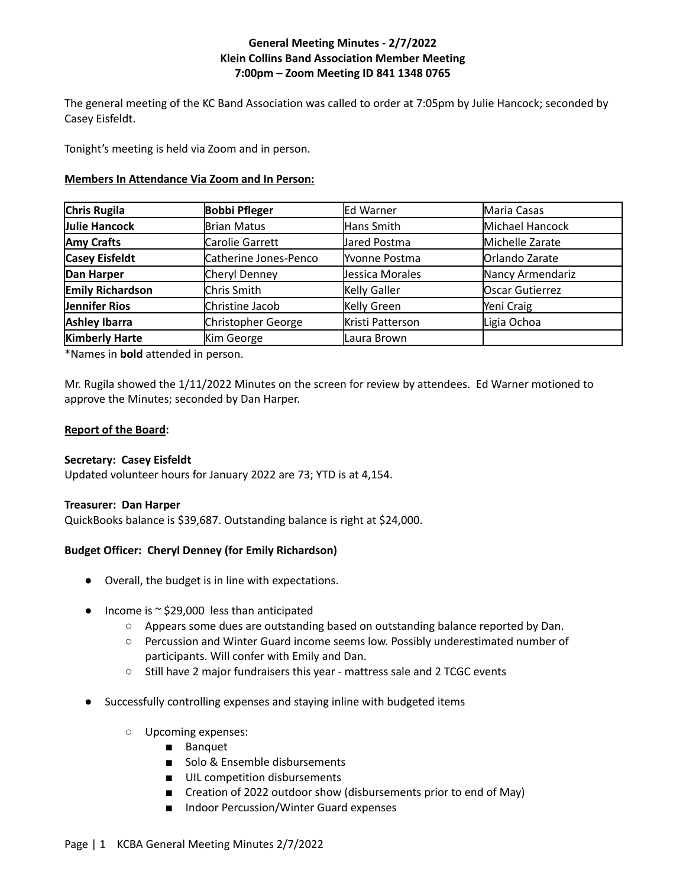# **General Meeting Minutes - 2/7/2022 Klein Collins Band Association Member Meeting 7:00pm – Zoom Meeting ID 841 1348 0765**

The general meeting of the KC Band Association was called to order at 7:05pm by Julie Hancock; seconded by Casey Eisfeldt.

Tonight's meeting is held via Zoom and in person.

## **Members In Attendance Via Zoom and In Person:**

| Chris Rugila            | <b>Bobbi Pfleger</b>  | Ed Warner           | Maria Casas            |
|-------------------------|-----------------------|---------------------|------------------------|
| Julie Hancock           | <b>Brian Matus</b>    | Hans Smith          | Michael Hancock        |
| <b>Amy Crafts</b>       | Carolie Garrett       | Jared Postma        | Michelle Zarate        |
| <b>Casey Eisfeldt</b>   | Catherine Jones-Penco | Yvonne Postma       | Orlando Zarate         |
| Dan Harper              | Cheryl Denney         | Jessica Morales     | Nancy Armendariz       |
| <b>Emily Richardson</b> | Chris Smith           | <b>Kelly Galler</b> | <b>Oscar Gutierrez</b> |
| Jennifer Rios           | Christine Jacob       | Kelly Green         | Yeni Craig             |
| <b>Ashley Ibarra</b>    | Christopher George    | Kristi Patterson    | Ligia Ochoa            |
| <b>Kimberly Harte</b>   | Kim George            | Laura Brown         |                        |

\*Names in **bold** attended in person.

Mr. Rugila showed the 1/11/2022 Minutes on the screen for review by attendees. Ed Warner motioned to approve the Minutes; seconded by Dan Harper.

## **Report of the Board:**

# **Secretary: Casey Eisfeldt**

Updated volunteer hours for January 2022 are 73; YTD is at 4,154.

## **Treasurer: Dan Harper**

QuickBooks balance is \$39,687. Outstanding balance is right at \$24,000.

# **Budget Officer: Cheryl Denney (for Emily Richardson)**

- Overall, the budget is in line with expectations.
- Income is  $\sim$  \$29,000 less than anticipated
	- Appears some dues are outstanding based on outstanding balance reported by Dan.
	- Percussion and Winter Guard income seems low. Possibly underestimated number of participants. Will confer with Emily and Dan.
	- Still have 2 major fundraisers this year mattress sale and 2 TCGC events
- Successfully controlling expenses and staying inline with budgeted items
	- Upcoming expenses:
		- Banquet
		- Solo & Ensemble disbursements
		- UIL competition disbursements
		- Creation of 2022 outdoor show (disbursements prior to end of May)
		- Indoor Percussion/Winter Guard expenses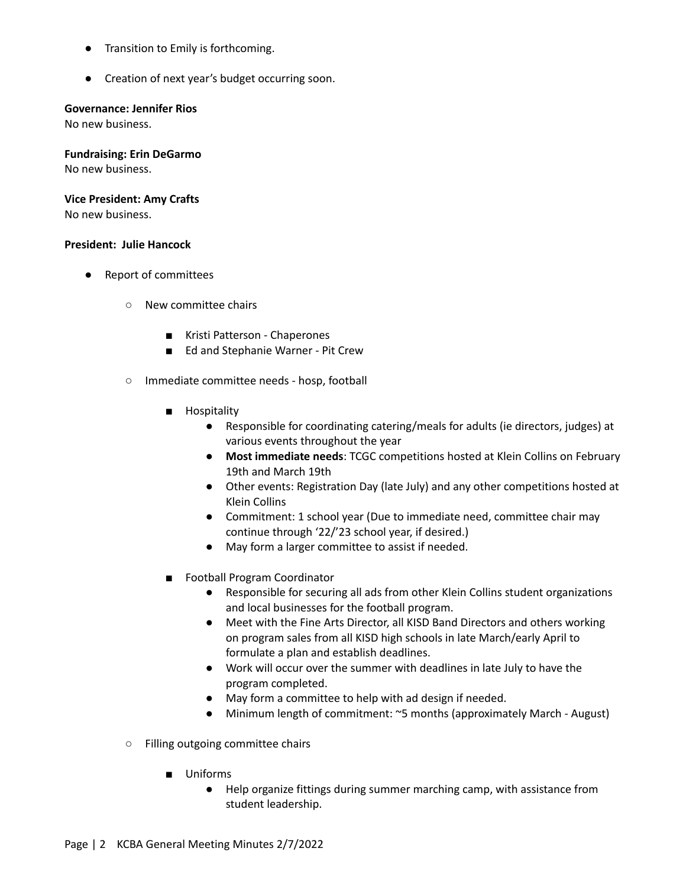- Transition to Emily is forthcoming.
- Creation of next year's budget occurring soon.

### **Governance: Jennifer Rios**

No new business.

**Fundraising: Erin DeGarmo**

No new business.

## **Vice President: Amy Crafts**

No new business.

## **President: Julie Hancock**

- Report of committees
	- New committee chairs
		- Kristi Patterson Chaperones
		- Ed and Stephanie Warner Pit Crew
	- Immediate committee needs hosp, football
		- Hospitality
			- Responsible for coordinating catering/meals for adults (ie directors, judges) at various events throughout the year
			- **Most immediate needs**: TCGC competitions hosted at Klein Collins on February 19th and March 19th
			- Other events: Registration Day (late July) and any other competitions hosted at Klein Collins
			- Commitment: 1 school year (Due to immediate need, committee chair may continue through '22/'23 school year, if desired.)
			- May form a larger committee to assist if needed.
		- Football Program Coordinator
			- Responsible for securing all ads from other Klein Collins student organizations and local businesses for the football program.
			- Meet with the Fine Arts Director, all KISD Band Directors and others working on program sales from all KISD high schools in late March/early April to formulate a plan and establish deadlines.
			- Work will occur over the summer with deadlines in late July to have the program completed.
			- May form a committee to help with ad design if needed.
			- Minimum length of commitment: ~5 months (approximately March August)
	- Filling outgoing committee chairs
		- Uniforms
			- Help organize fittings during summer marching camp, with assistance from student leadership.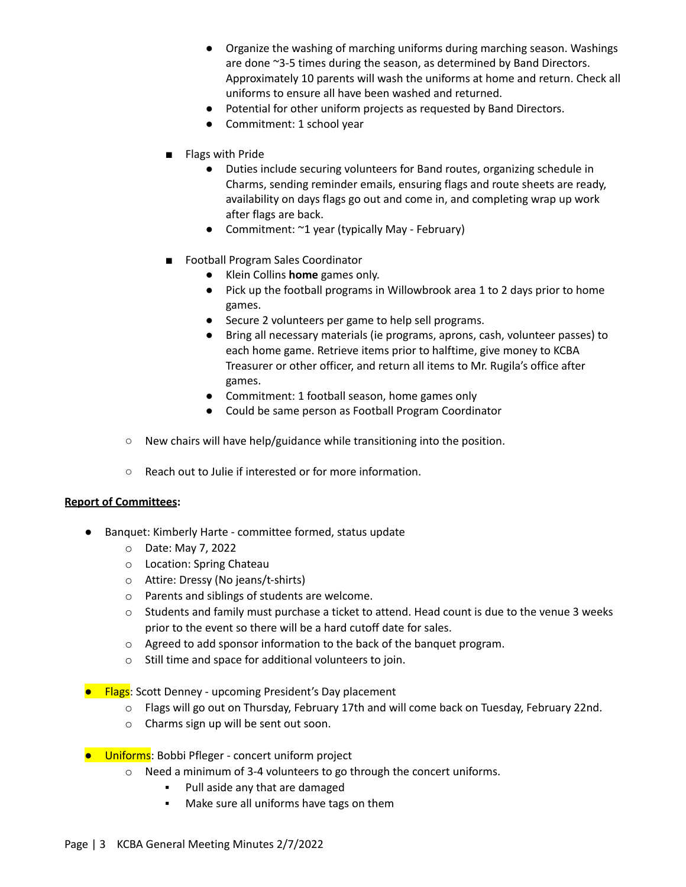- Organize the washing of marching uniforms during marching season. Washings are done ~3-5 times during the season, as determined by Band Directors. Approximately 10 parents will wash the uniforms at home and return. Check all uniforms to ensure all have been washed and returned.
- Potential for other uniform projects as requested by Band Directors.
- Commitment: 1 school year
- Flags with Pride
	- Duties include securing volunteers for Band routes, organizing schedule in Charms, sending reminder emails, ensuring flags and route sheets are ready, availability on days flags go out and come in, and completing wrap up work after flags are back.
	- Commitment: ~1 year (typically May February)
- Football Program Sales Coordinator
	- Klein Collins **home** games only.
	- Pick up the football programs in Willowbrook area 1 to 2 days prior to home games.
	- Secure 2 volunteers per game to help sell programs.
	- Bring all necessary materials (ie programs, aprons, cash, volunteer passes) to each home game. Retrieve items prior to halftime, give money to KCBA Treasurer or other officer, and return all items to Mr. Rugila's office after games.
	- Commitment: 1 football season, home games only
	- Could be same person as Football Program Coordinator
- New chairs will have help/guidance while transitioning into the position.
- Reach out to Julie if interested or for more information.

#### **Report of Committees:**

- Banquet: Kimberly Harte committee formed, status update
	- o Date: May 7, 2022
	- o Location: Spring Chateau
	- o Attire: Dressy (No jeans/t-shirts)
	- o Parents and siblings of students are welcome.
	- $\circ$  Students and family must purchase a ticket to attend. Head count is due to the venue 3 weeks prior to the event so there will be a hard cutoff date for sales.
	- o Agreed to add sponsor information to the back of the banquet program.
	- o Still time and space for additional volunteers to join.
- Flags: Scott Denney upcoming President's Day placement
	- o Flags will go out on Thursday, February 17th and will come back on Tuesday, February 22nd.
	- o Charms sign up will be sent out soon.
- Uniforms: Bobbi Pfleger concert uniform project
	- o Need a minimum of 3-4 volunteers to go through the concert uniforms.
		- Pull aside any that are damaged
		- Make sure all uniforms have tags on them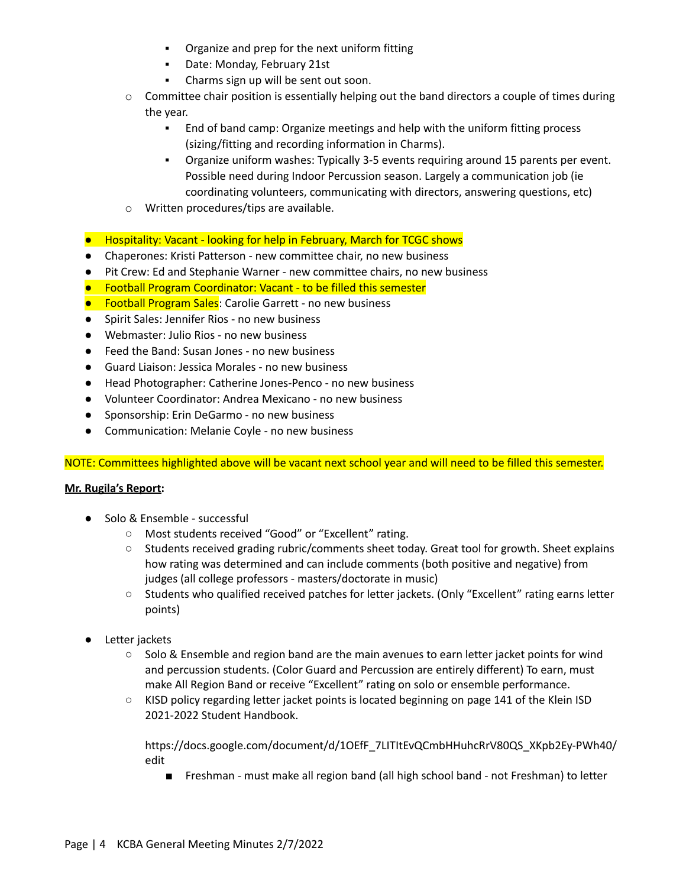- Organize and prep for the next uniform fitting
- Date: Monday, February 21st
- Charms sign up will be sent out soon.
- $\circ$  Committee chair position is essentially helping out the band directors a couple of times during the year.
	- End of band camp: Organize meetings and help with the uniform fitting process (sizing/fitting and recording information in Charms).
	- Organize uniform washes: Typically 3-5 events requiring around 15 parents per event. Possible need during Indoor Percussion season. Largely a communication job (ie coordinating volunteers, communicating with directors, answering questions, etc)
- o Written procedures/tips are available.
- Hospitality: Vacant looking for help in February, March for TCGC shows
- Chaperones: Kristi Patterson new committee chair, no new business
- Pit Crew: Ed and Stephanie Warner new committee chairs, no new business
- Football Program Coordinator: Vacant to be filled this semester
- Football Program Sales: Carolie Garrett no new business
- Spirit Sales: Jennifer Rios no new business
- Webmaster: Julio Rios no new business
- Feed the Band: Susan Jones no new business
- Guard Liaison: Jessica Morales no new business
- Head Photographer: Catherine Jones-Penco no new business
- Volunteer Coordinator: Andrea Mexicano no new business
- Sponsorship: Erin DeGarmo no new business
- Communication: Melanie Coyle no new business

NOTE: Committees highlighted above will be vacant next school year and will need to be filled this semester.

## **Mr. Rugila's Report:**

- Solo & Ensemble successful
	- Most students received "Good" or "Excellent" rating.
	- Students received grading rubric/comments sheet today. Great tool for growth. Sheet explains how rating was determined and can include comments (both positive and negative) from judges (all college professors - masters/doctorate in music)
	- Students who qualified received patches for letter jackets. (Only "Excellent" rating earns letter points)
- Letter jackets
	- Solo & Ensemble and region band are the main avenues to earn letter jacket points for wind and percussion students. (Color Guard and Percussion are entirely different) To earn, must make All Region Band or receive "Excellent" rating on solo or ensemble performance.
	- KISD policy regarding letter jacket points is located beginning on page 141 of the Klein ISD 2021-2022 Student Handbook.

https://docs.google.com/document/d/1OEfF\_7LITItEvQCmbHHuhcRrV80QS\_XKpb2Ey-PWh40/ edit

■ Freshman - must make all region band (all high school band - not Freshman) to letter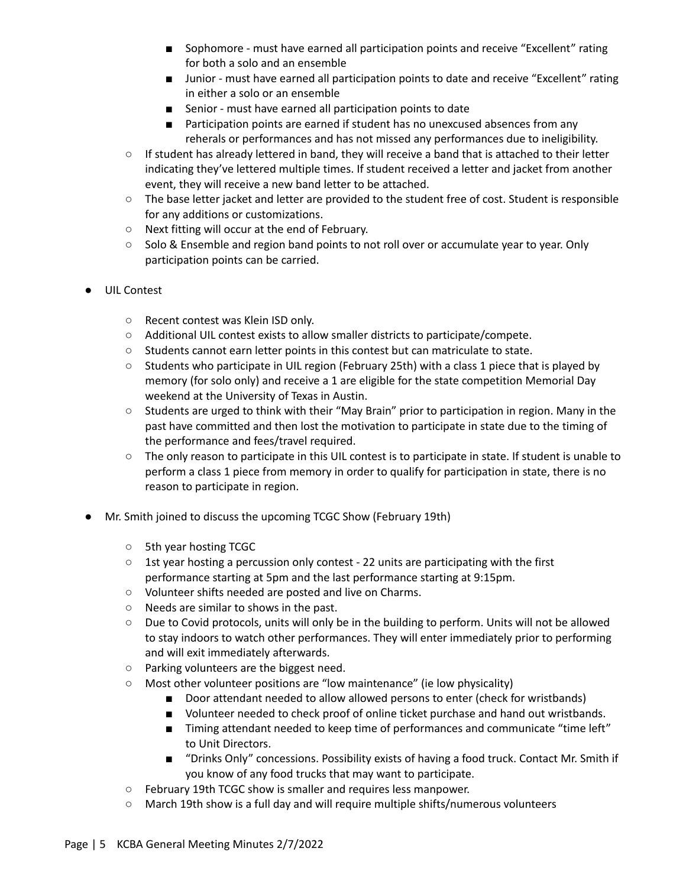- Sophomore must have earned all participation points and receive "Excellent" rating for both a solo and an ensemble
- Junior must have earned all participation points to date and receive "Excellent" rating in either a solo or an ensemble
- Senior must have earned all participation points to date
- Participation points are earned if student has no unexcused absences from any reherals or performances and has not missed any performances due to ineligibility.
- If student has already lettered in band, they will receive a band that is attached to their letter indicating they've lettered multiple times. If student received a letter and jacket from another event, they will receive a new band letter to be attached.
- The base letter jacket and letter are provided to the student free of cost. Student is responsible for any additions or customizations.
- Next fitting will occur at the end of February.
- Solo & Ensemble and region band points to not roll over or accumulate year to year. Only participation points can be carried.
- UIL Contest
	- Recent contest was Klein ISD only.
	- Additional UIL contest exists to allow smaller districts to participate/compete.
	- Students cannot earn letter points in this contest but can matriculate to state.
	- Students who participate in UIL region (February 25th) with a class 1 piece that is played by memory (for solo only) and receive a 1 are eligible for the state competition Memorial Day weekend at the University of Texas in Austin.
	- Students are urged to think with their "May Brain" prior to participation in region. Many in the past have committed and then lost the motivation to participate in state due to the timing of the performance and fees/travel required.
	- The only reason to participate in this UIL contest is to participate in state. If student is unable to perform a class 1 piece from memory in order to qualify for participation in state, there is no reason to participate in region.
- Mr. Smith joined to discuss the upcoming TCGC Show (February 19th)
	- 5th year hosting TCGC
	- $\circ$  1st year hosting a percussion only contest 22 units are participating with the first performance starting at 5pm and the last performance starting at 9:15pm.
	- Volunteer shifts needed are posted and live on Charms.
	- Needs are similar to shows in the past.
	- Due to Covid protocols, units will only be in the building to perform. Units will not be allowed to stay indoors to watch other performances. They will enter immediately prior to performing and will exit immediately afterwards.
	- Parking volunteers are the biggest need.
	- Most other volunteer positions are "low maintenance" (ie low physicality)
		- Door attendant needed to allow allowed persons to enter (check for wristbands)
		- Volunteer needed to check proof of online ticket purchase and hand out wristbands.
		- Timing attendant needed to keep time of performances and communicate "time left" to Unit Directors.
		- "Drinks Only" concessions. Possibility exists of having a food truck. Contact Mr. Smith if you know of any food trucks that may want to participate.
	- February 19th TCGC show is smaller and requires less manpower.
	- March 19th show is a full day and will require multiple shifts/numerous volunteers